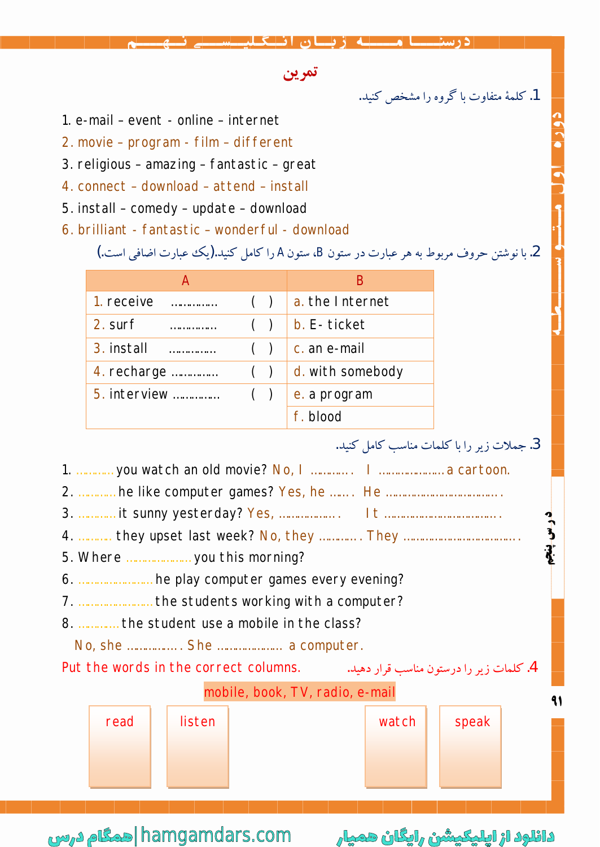## تمرين

1. کلمهٔ متفاوت با گروه را مشخص کنید.

- 1. e-mail event online internet
- 2. movie program film different
- 3. religious amazing fantastic great
- 4. connect download attend install
- 5. install comedy update download
- 6. brilliant fantastic wonderful download

| 2. با نوشتن حروف مربوط به هر عبارت در ستون B، ستونA را کامل کنید.(یک عبارت اضافی است.) |  |  |  |
|----------------------------------------------------------------------------------------|--|--|--|
|----------------------------------------------------------------------------------------|--|--|--|

| А            |       | в                |
|--------------|-------|------------------|
| 1. receive   | $($ ) | a. the Internet  |
| 2. surf      | $($ ) | b. E-ticket      |
| 3. install   | (     | c. an e-mail     |
| 4. recharge  | $($ ) | d. with somebody |
| 5. interview | $($ ) | e. a program     |
|              |       | f. blood         |



دائلود از اپلیکیشن رایگان همیار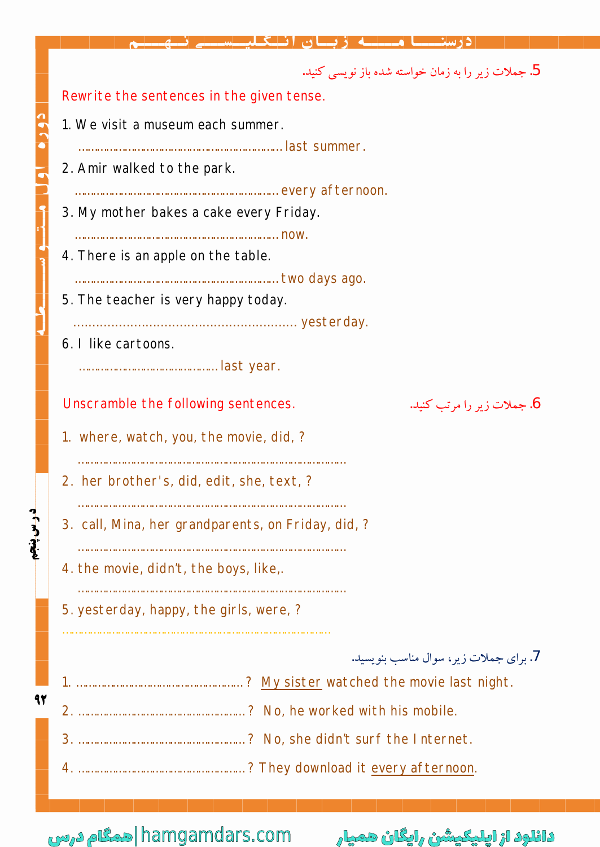|         | 5. جملات زیر را به زمان خواسته شده باز نویسی کنید.                |
|---------|-------------------------------------------------------------------|
|         | Rewrite the sentences in the given tense.                         |
|         | 1. We visit a museum each summer.                                 |
|         |                                                                   |
|         | 2. Amir walked to the park.                                       |
|         | 3. My mother bakes a cake every Friday.                           |
|         |                                                                   |
|         | 4. There is an apple on the table.                                |
|         | 5. The teacher is very happy today.                               |
|         |                                                                   |
|         | 6. I like cartoons.                                               |
|         |                                                                   |
|         | Unscramble the following sentences.<br>6. جملات زیر را مرتب کنید. |
|         | 1. where, watch, you, the movie, did, ?                           |
|         | 2. her brother's, did, edit, she, text, ?                         |
| وس پنجم | 3. call, Mina, her grandparents, on Friday, did, ?                |
|         | 4. the movie, didn't, the boys, like,.                            |
|         |                                                                   |
|         | 5. yesterday, happy, the girls, were, ?                           |
|         |                                                                   |
|         | 7. برای جملات زیر، سوال مناسب بنویسید.                            |
| 92      |                                                                   |
|         |                                                                   |
|         |                                                                   |
|         |                                                                   |
|         |                                                                   |

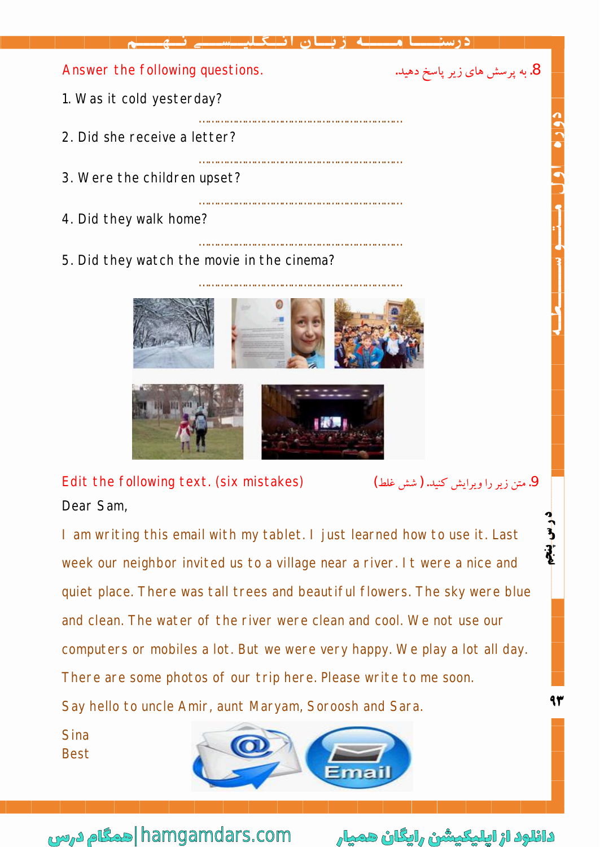



Edit the following text. (six mistakes) ... (شين زير را ويرايش كنيد. (شش غلط) Dear Sam,

I am writing this email with my tablet. I just learned how to use it. Last week our neighbor invited us to a village near a river. It were a nice and quiet place. There was tall trees and beautiful flowers. The sky were blue and clean. The water of the river were clean and cool. We not use our computers or mobiles a lot. But we were very happy. We play a lot all day. There are some photos of our trip here. Please write to me soon. Say hello to uncle Amir, aunt Maryam, Soroosh and Sara.

Sina Best



دانلود از اپلیکیشن رایگان همیار com.hamgamdars| همگام درس

ን<br>}

**¯´Z**

**F@**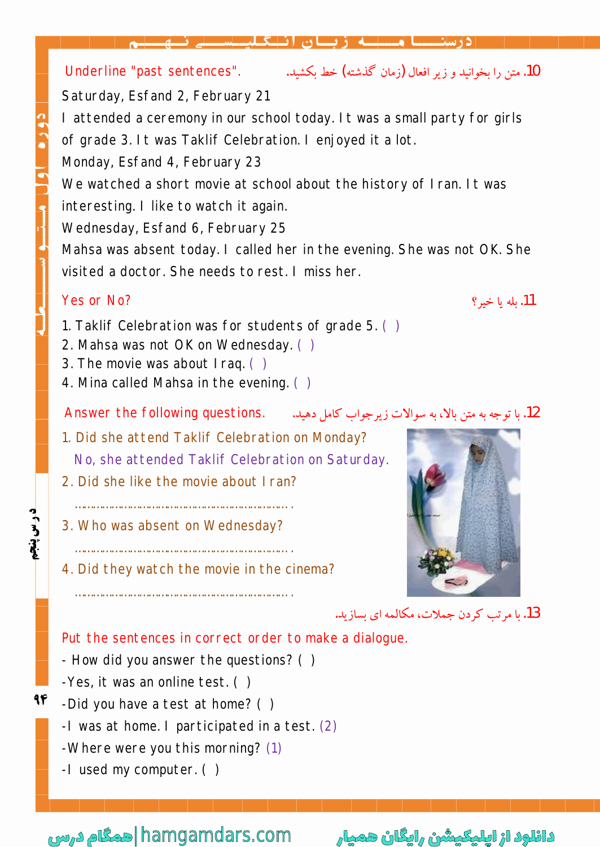ة بسان انتكلا

Underline "past sentences". .|̰]y (Äf~³ ½Z»)µZ §YËÁ|Ì¿YÂz]Y¾f» .10

Saturday, Esfand 2, February 21

I attended a ceremony in our school today. It was a small party for girls of grade 3. It was Taklif Celebration. I enjoyed it a lot.

Monday, Esfand 4, February 23

We watched a short movie at school about the history of Iran. It was

interesting. I like to watch it again.

Wednesday, Esfand 6, February 25

Mahsa was absent today. I called her in the evening. She was not OK. She visited a doctor. She needs to rest. I miss her.

## Yes or No? .ÌyZËĸ] .11

- 1. Taklif Celebration was for students of grade 5. ( )
- 2. Mahsa was not OK on Wednesday. ( )
- 3. The movie was about Iraq. ( )
- 4. Mina called Mahsa in the evening. ( )

 $\Lambda$ nswer the following questions. .|أ $\Lambda$ . مقرر مالاً، به سوالات زير جواب كامل دهيلة. .|

- 1. Did she attend Taklif Celebration on Monday? No, she attended Taklif Celebration on Saturday.
- 2. Did she like the movie about Iran?

…………………………………………………………… .

…………………………………………………………… .

- 3. Who was absent on Wednesday?
- 4. Did they watch the movie in the cinema?



13. يا مرتب كردن جملات، مكالمه اي بسازيد.

Put the sentences in correct order to make a dialogue.

- How did you answer the questions? ( )
- -Yes, it was an online test. ( )
- **FQ%#! ¯´Z** 94 -Did you have a test at home? ( )
	- -I was at home. I participated in a test. (2)
	- -Where were you this morning? (1)
	- -I used my computer. ( )

دانلود از اپلیکیشن رایگان همیار com.hamgamdars| همگام درس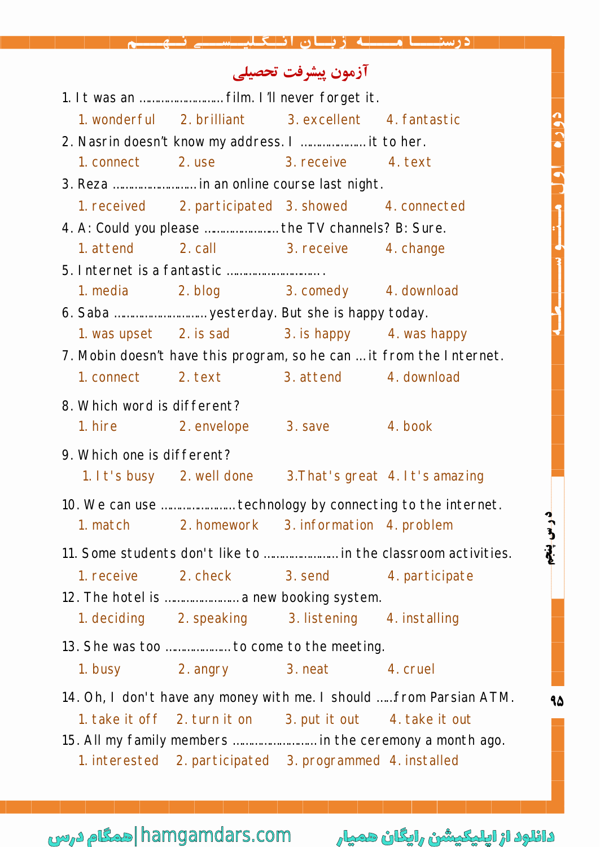|                             |                                                           | درسنـــا مـــــه زبــان انــگـليــسـ                                                                           |                                                                      |
|-----------------------------|-----------------------------------------------------------|----------------------------------------------------------------------------------------------------------------|----------------------------------------------------------------------|
|                             |                                                           | آزمون ييشرفت تحصيلي                                                                                            |                                                                      |
|                             | 1. It was an  film. I'll never forget it.                 |                                                                                                                |                                                                      |
|                             | 1. wonderful 2. brilliant 3. excellent 4. fantastic       |                                                                                                                |                                                                      |
|                             | 2. Nasrin doesn't know my address. I  it to her.          |                                                                                                                |                                                                      |
|                             | 1. connect 2. use 3. receive 4. text                      |                                                                                                                |                                                                      |
|                             | 3. Reza  in an online course last night.                  |                                                                                                                |                                                                      |
|                             | 1. received 2. participated 3. showed 4. connected        |                                                                                                                |                                                                      |
|                             | 4. A: Could you please  the TV channels? B: Sure.         |                                                                                                                |                                                                      |
| 1. attend                   |                                                           | 2. call 3. receive 4. change                                                                                   |                                                                      |
|                             |                                                           |                                                                                                                |                                                                      |
| 1. media                    |                                                           | 2. blog 3. comedy 4. download                                                                                  |                                                                      |
|                             |                                                           |                                                                                                                |                                                                      |
|                             | 1. was upset 2. is sad 3. is happy 4. was happy           |                                                                                                                |                                                                      |
|                             |                                                           |                                                                                                                | 7. Mobin doesn't have this program, so he can  it from the Internet. |
|                             | 1. connect 2. text 3. attend 4. download                  |                                                                                                                |                                                                      |
| 8. Which word is different? |                                                           |                                                                                                                |                                                                      |
|                             | 1. hire 2. envelope 3. save 4. book                       |                                                                                                                |                                                                      |
| 9. Which one is different?  |                                                           |                                                                                                                |                                                                      |
|                             | 1. It's busy 2. well done 3. That's great 4. It's amazing |                                                                                                                |                                                                      |
|                             |                                                           |                                                                                                                | 10. We can use  technology by connecting to the internet.            |
|                             | 1. match 2. homework 3. information 4. problem            |                                                                                                                |                                                                      |
|                             |                                                           |                                                                                                                | درس پنجم                                                             |
|                             |                                                           |                                                                                                                | 11. Some students don't like to  in the classroom activities.        |
| 1. receive 2. check         |                                                           | 3. send 5. and 5. and 5. and 5. and 5. and 5. and 5. and 5. and 5. and 5. and 5. and 5. and 5. and 5. and 5. a |                                                                      |
|                             | 12. The hotel is  a new booking system.                   |                                                                                                                |                                                                      |
| 1. deciding                 | 2. speaking                                               | 3. listening                                                                                                   | 4. installing                                                        |
|                             | 13. She was too  to come to the meeting.                  |                                                                                                                |                                                                      |
|                             | 1. busy 2. angry 3. neat                                  |                                                                                                                | 4. cruel                                                             |
|                             |                                                           |                                                                                                                | 14. Oh, I don't have any money with me. I should  from Parsian ATM.  |
|                             | 1. take it off 2. turn it on 3. put it out 4. take it out |                                                                                                                |                                                                      |
|                             |                                                           |                                                                                                                | 15. All my family members  in the ceremony a month ago.              |
|                             | 1. interested 2. participated 3. programmed 4. installed  |                                                                                                                |                                                                      |
|                             |                                                           |                                                                                                                |                                                                      |

hamgamdars.com |حمگام درس

دائلود از اپلیکیشن رایگان همیار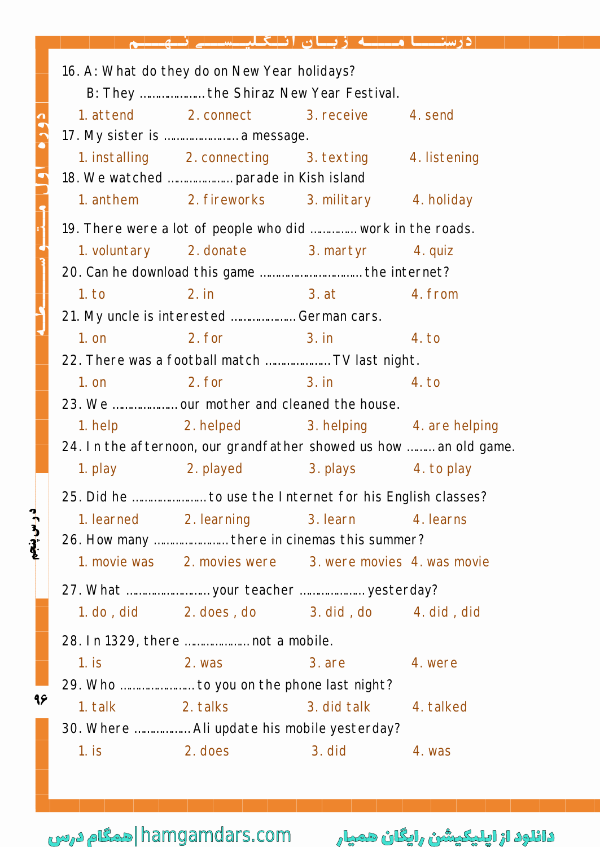16. A: What do they do on New Year holidays? B: They ………………… the Shiraz New Year Festival. 1. attend 2. connect 3. receive 4. send 17. My sister is …………………… a message. 1. installing 2. connecting 3. texting 4. listening 18. We watched ………………… parade in Kish island 1. anthem 2. fireworks 3. military 4. holiday 19. There were a lot of people who did …………… work in the roads. 1. voluntary 2. donate 3. martyr 4. quiz 20. Can he download this game …………………………… the internet? 1. to 2. in 3. at 4. from 21. My uncle is interested ………………… German cars. 1. on 2. for 3. in 4. to 22. There was a football match ………………… TV last night. 1. on 2. for 3. in 4. to 23. We ………………… our mother and cleaned the house. 1. help 2. helped 3. helping 4. are helping 24. In the afternoon, our grandfather showed us how ……… an old game. 1. play 1. played 2. played 2. plays 4. to play 25. Did he …………………… to use the Internet for his English classes? **FS%#! ¯´Z** 1. learned 2. learning 3. learn 4. learns 26. How many …………………… there in cinemas this summer? 1. movie was 2. movies were 3. were movies 4. was movie 27. What ……………………… your teacher ………………… yesterday? 1. do , did 2. does , do 3. did , do 4. did , did 28. In 1329, there ………………… not a mobile. 1. is 2. was 3. are 4. were 29. Who …………………… to you on the phone last night? ۹۶ 1. talk 2. talks 3. did talk 4. talked 30. Where ……………… Ali update his mobile yesterday? 1. is 2. does 3. did 4. was

دانلود از اپلیکیشن رایگان همیار com.hamgamdars| همگام درس

درس پنجم